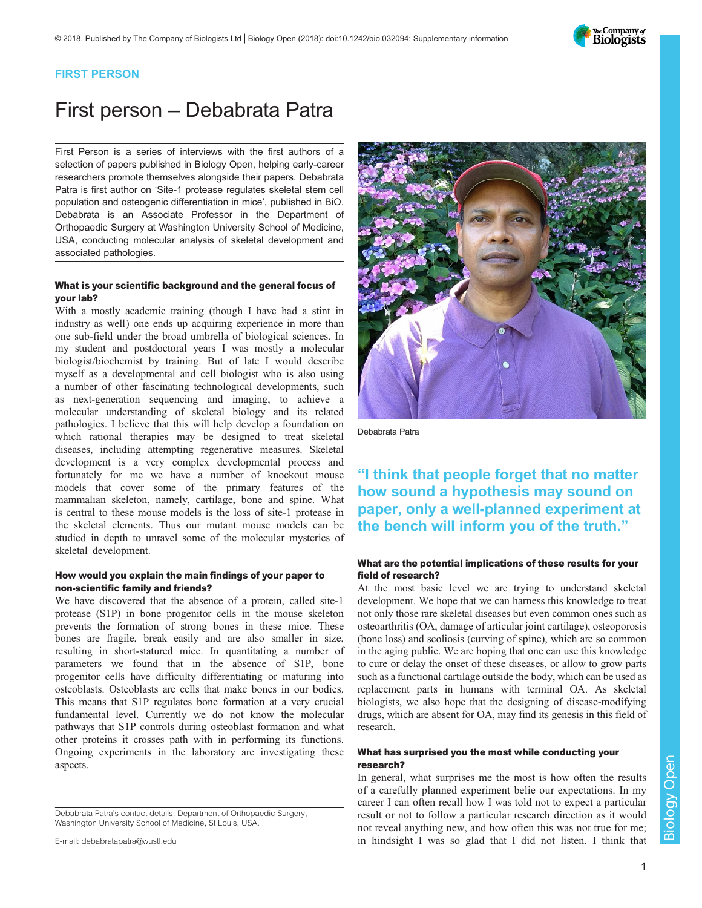

## FIRST PERSON

# First person – Debabrata Patra

First Person is a series of interviews with the first authors of a selection of papers published in Biology Open, helping early-career researchers promote themselves alongside their papers. Debabrata Patra is first author on '[Site-1 protease regulates skeletal stem cell](https://doi.org/10.1242/bio.032094) [population and osteogenic differentiation in mice](https://doi.org/10.1242/bio.032094)', published in BiO. Debabrata is an Associate Professor in the Department of Orthopaedic Surgery at Washington University School of Medicine, USA, conducting molecular analysis of skeletal development and associated pathologies.

### What is your scientific background and the general focus of your lab?

With a mostly academic training (though I have had a stint in industry as well) one ends up acquiring experience in more than one sub-field under the broad umbrella of biological sciences. In my student and postdoctoral years I was mostly a molecular biologist/biochemist by training. But of late I would describe myself as a developmental and cell biologist who is also using a number of other fascinating technological developments, such as next-generation sequencing and imaging, to achieve a molecular understanding of skeletal biology and its related pathologies. I believe that this will help develop a foundation on which rational therapies may be designed to treat skeletal diseases, including attempting regenerative measures. Skeletal development is a very complex developmental process and fortunately for me we have a number of knockout mouse models that cover some of the primary features of the mammalian skeleton, namely, cartilage, bone and spine. What is central to these mouse models is the loss of site-1 protease in the skeletal elements. Thus our mutant mouse models can be studied in depth to unravel some of the molecular mysteries of skeletal development.

#### How would you explain the main findings of your paper to non-scientific family and friends?

We have discovered that the absence of a protein, called site-1 protease (S1P) in bone progenitor cells in the mouse skeleton prevents the formation of strong bones in these mice. These bones are fragile, break easily and are also smaller in size, resulting in short-statured mice. In quantitating a number of parameters we found that in the absence of S1P, bone progenitor cells have difficulty differentiating or maturing into osteoblasts. Osteoblasts are cells that make bones in our bodies. This means that S1P regulates bone formation at a very crucial fundamental level. Currently we do not know the molecular pathways that S1P controls during osteoblast formation and what other proteins it crosses path with in performing its functions. Ongoing experiments in the laboratory are investigating these aspects.

Debabrata Patra's contact details: Department of Orthopaedic Surgery, Washington University School of Medicine, St Louis, USA.





Debabrata Patra

"I think that people forget that no matter how sound a hypothesis may sound on paper, only a well-planned experiment at the bench will inform you of the truth."

#### What are the potential implications of these results for your field of research?

At the most basic level we are trying to understand skeletal development. We hope that we can harness this knowledge to treat not only those rare skeletal diseases but even common ones such as osteoarthritis (OA, damage of articular joint cartilage), osteoporosis (bone loss) and scoliosis (curving of spine), which are so common in the aging public. We are hoping that one can use this knowledge to cure or delay the onset of these diseases, or allow to grow parts such as a functional cartilage outside the body, which can be used as replacement parts in humans with terminal OA. As skeletal biologists, we also hope that the designing of disease-modifying drugs, which are absent for OA, may find its genesis in this field of research.

#### What has surprised you the most while conducting your research?

In general, what surprises me the most is how often the results of a carefully planned experiment belie our expectations. In my career I can often recall how I was told not to expect a particular result or not to follow a particular research direction as it would not reveal anything new, and how often this was not true for me; in hindsight I was so glad that I did not listen. I think that